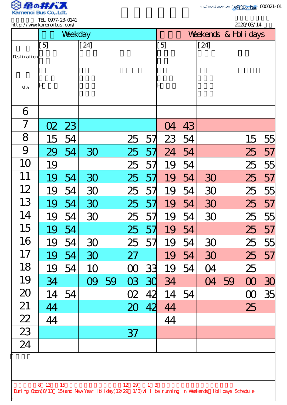

.

TEL 0977-23-0141

|                                                                                                                                    | <b>ILL UTILE 2J UITI</b><br>http://www.kamenoi.bus.com/ |    |        |    |          |    |                       | 2020/03/14 |        |    |          |    |
|------------------------------------------------------------------------------------------------------------------------------------|---------------------------------------------------------|----|--------|----|----------|----|-----------------------|------------|--------|----|----------|----|
|                                                                                                                                    | Weekday                                                 |    |        |    |          |    | Weekends & Hol i days |            |        |    |          |    |
|                                                                                                                                    | $[5]$                                                   |    | $[24]$ |    |          |    | [5]                   |            | $[24]$ |    |          |    |
| Desti nati on                                                                                                                      |                                                         |    |        |    |          |    |                       |            |        |    |          |    |
| Vi a                                                                                                                               | ļΗ                                                      |    |        |    |          |    | ΙH                    |            |        |    |          |    |
| 6                                                                                                                                  |                                                         |    |        |    |          |    |                       |            |        |    |          |    |
| 7                                                                                                                                  | O <sub>2</sub>                                          | 23 |        |    |          |    | <u>()4</u>            | 43         |        |    |          |    |
| 8                                                                                                                                  | 15                                                      | 54 |        |    | 25       | 57 | 23                    | 54         |        |    | 15       | 55 |
| 9                                                                                                                                  | 29                                                      | 54 | 30     |    | 25       | 5/ | 24                    | 54         |        |    | 25       | 57 |
| 10                                                                                                                                 | 19                                                      |    |        |    | 25       | 57 | 19                    | 54         |        |    | 25       | 55 |
| 11                                                                                                                                 | 19                                                      | 54 | 30     |    | 25       | 57 | 19                    | 54         | 30     |    | 25       | 57 |
| 12                                                                                                                                 | 19                                                      | 54 | 30     |    | 25       | 57 | 19                    | 54         | 30     |    | 25       | 55 |
| 13                                                                                                                                 | 19                                                      | 54 | 30     |    | 25       | 57 | 19                    | 54         | 30     |    | 25       | 57 |
| 14                                                                                                                                 | 19                                                      | 54 | 30     |    | 25       | 57 | 19                    | 54         | 30     |    | 25       | 55 |
| 15                                                                                                                                 | 19                                                      | 54 |        |    | 25       | 57 | 19                    | 54         |        |    | 25       | 57 |
| 16                                                                                                                                 | 19                                                      | 54 | 30     |    | 25       | 57 | 19                    | 54         | 30     |    | 25       | 55 |
| 17                                                                                                                                 | 19                                                      | 54 | 30     |    | 27       |    | 19                    | 54         | 30     |    | 25       | 57 |
| 18                                                                                                                                 | 19                                                      | 54 | 10     |    | $\infty$ | 33 | 19                    | 54         | 04     |    | 25       |    |
| 19                                                                                                                                 | 34                                                      |    | OQ     | 59 | 03       | 30 | 34                    |            | 04     | 59 | $\infty$ | 30 |
| 20                                                                                                                                 | 14                                                      | 54 |        |    | O2       | 42 | 14                    | 54         |        |    | $\infty$ | 35 |
| 21                                                                                                                                 | 44                                                      |    |        |    | 20       | 42 | 44                    |            |        |    | 25       |    |
| 22                                                                                                                                 | 44                                                      |    |        |    |          |    | 44                    |            |        |    |          |    |
| 23                                                                                                                                 |                                                         |    |        |    | 37       |    |                       |            |        |    |          |    |
| 24                                                                                                                                 |                                                         |    |        |    |          |    |                       |            |        |    |          |    |
|                                                                                                                                    |                                                         |    |        |    |          |    |                       |            |        |    |          |    |
|                                                                                                                                    |                                                         |    |        |    |          |    |                       |            |        |    |          |    |
| 8 13 15<br>$12 \t29 \t1 \t3$<br>During Cbon(8/13 15) and New Year Holiday(12/29 1/3) will be running in Weekends Holidays Schedule |                                                         |    |        |    |          |    |                       |            |        |    |          |    |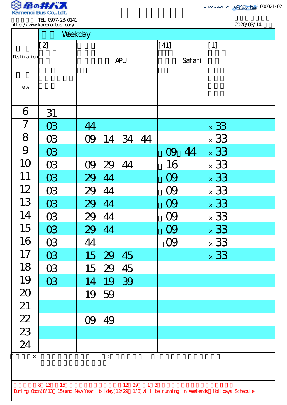

TEL 0977-23-0141 http://www.kamenoibus.com/

2020/03/14

|                                                                                                    | Weekday   |                |              |                     |  |  |  |  |  |
|----------------------------------------------------------------------------------------------------|-----------|----------------|--------------|---------------------|--|--|--|--|--|
|                                                                                                    | $[2]$     |                | $\vert$ [41] | $\lfloor 1 \rfloor$ |  |  |  |  |  |
| Desti nati on                                                                                      |           | <b>APU</b>     | Safari       |                     |  |  |  |  |  |
|                                                                                                    |           |                |              |                     |  |  |  |  |  |
| Vi a                                                                                               |           |                |              |                     |  |  |  |  |  |
|                                                                                                    |           |                |              |                     |  |  |  |  |  |
| 6                                                                                                  | 31        |                |              |                     |  |  |  |  |  |
| $\overline{7}$                                                                                     | <b>O3</b> | 44             |              | $\times$ 33         |  |  |  |  |  |
| 8                                                                                                  | <b>O3</b> | 14 34 44<br>OQ |              | $\times$ 33         |  |  |  |  |  |
| 9                                                                                                  | <b>C3</b> |                | 09 44        | $\times$ 33         |  |  |  |  |  |
| 10                                                                                                 | <b>C3</b> | 29 44<br>09    | 16           | $\times$ 33         |  |  |  |  |  |
| 11                                                                                                 | 03        | 44<br>29       | 09           | $\times$ 33         |  |  |  |  |  |
| 12                                                                                                 | <b>C3</b> | 44<br>29       | 09           | $\times$ 33         |  |  |  |  |  |
| 13                                                                                                 | <b>O3</b> | 44<br>29       |              | $\times$ 33         |  |  |  |  |  |
| 14                                                                                                 | 03        | 29 44          | 09           | $\times$ 33         |  |  |  |  |  |
| 15                                                                                                 | <b>O3</b> | 29 44          | 09           | $\times$ 33         |  |  |  |  |  |
| 16                                                                                                 | 03        | 44             | OQ           | $\times$ 33         |  |  |  |  |  |
| 17                                                                                                 | <b>C3</b> | 15 29 45       |              | $\times$ 33         |  |  |  |  |  |
| 18                                                                                                 | <b>C3</b> | 15 29 45       |              |                     |  |  |  |  |  |
| 19                                                                                                 | <b>O3</b> | 14 19 39       |              |                     |  |  |  |  |  |
| 20                                                                                                 |           | 19 59          |              |                     |  |  |  |  |  |
| 21                                                                                                 |           |                |              |                     |  |  |  |  |  |
| $\frac{22}{23}$                                                                                    |           | 49<br>OQ       |              |                     |  |  |  |  |  |
|                                                                                                    |           |                |              |                     |  |  |  |  |  |
| 24                                                                                                 |           |                |              |                     |  |  |  |  |  |
| $\times$ :                                                                                         |           | $\ddot{\cdot}$ | ÷            |                     |  |  |  |  |  |
|                                                                                                    |           |                |              |                     |  |  |  |  |  |
| 12 29 1 3<br>8 13<br>15                                                                            |           |                |              |                     |  |  |  |  |  |
| During Cbon(8/13 15) and New Year Holiday(12/29 1/3) will be running in Weekends Holidays Schedule |           |                |              |                     |  |  |  |  |  |